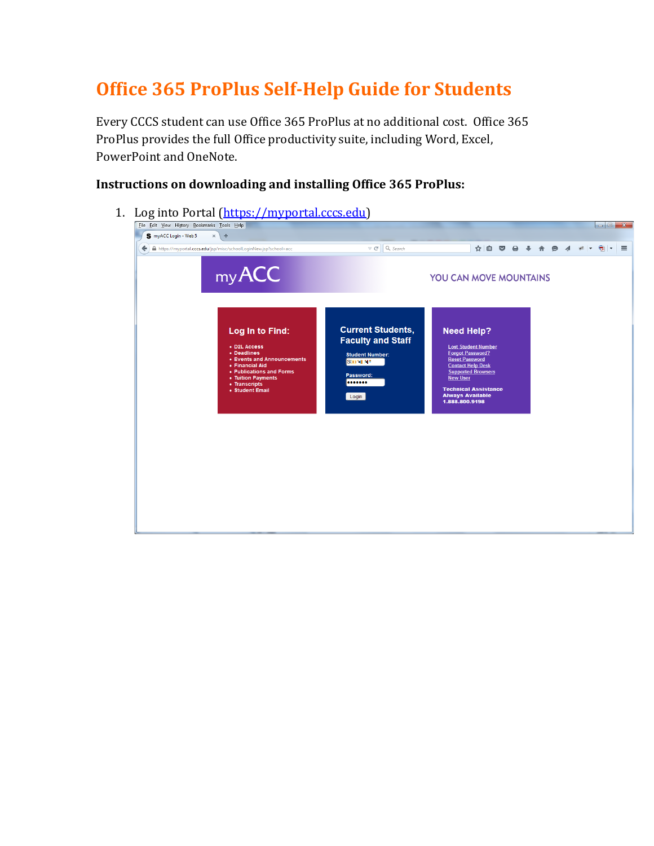# **Office 365 ProPlus Self-Help Guide for Students**

Every CCCS student can use Office 365 ProPlus at no additional cost. Office 365 ProPlus provides the full Office productivity suite, including Word, Excel, PowerPoint and OneNote.

### **Instructions on downloading and installing Office 365 ProPlus:**

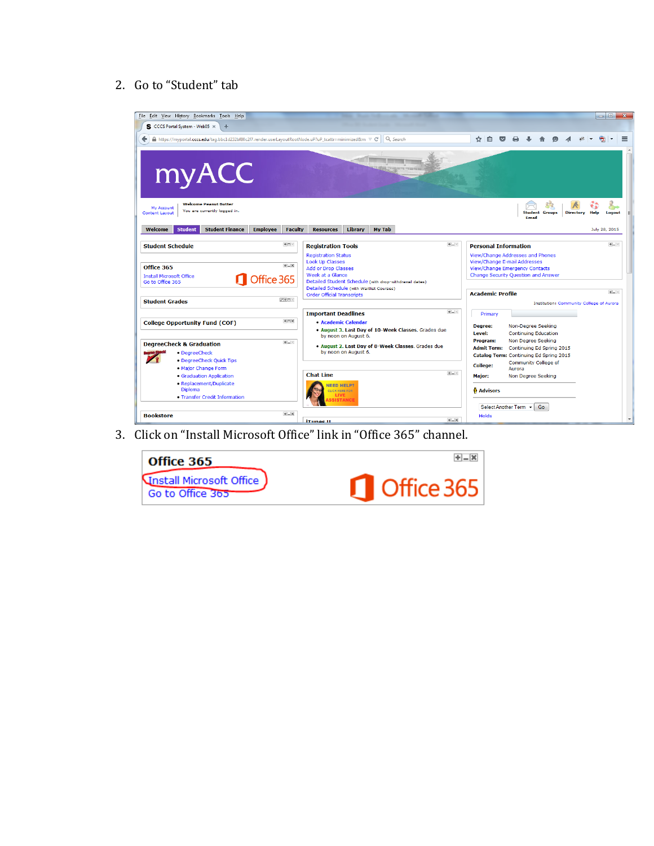#### 2. Go to "Student" tab



3. Click on "Install Microsoft Office" link in "Office 365" channel.

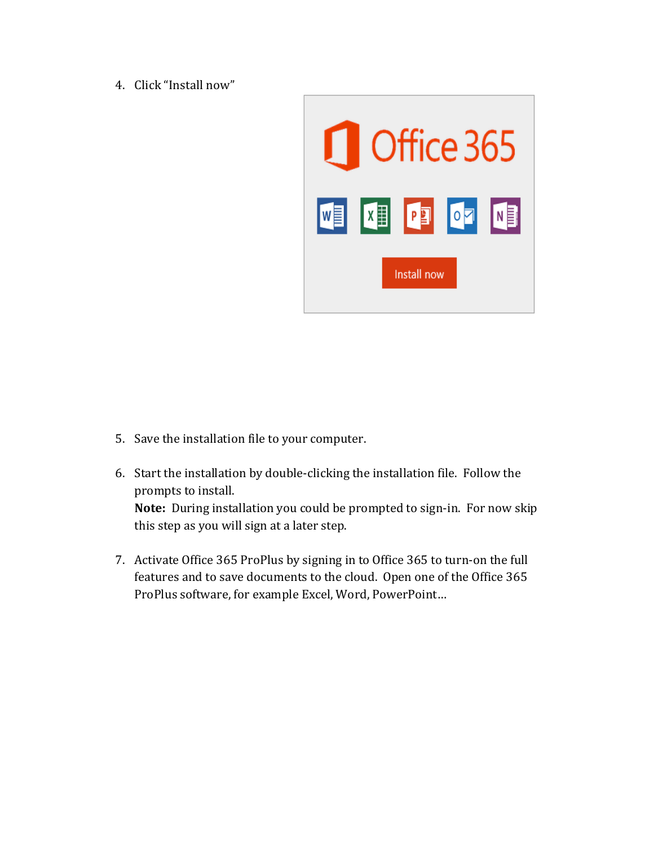4. Click "Install now"



- 5. Save the installation file to your computer.
- 6. Start the installation by double-clicking the installation file. Follow the prompts to install. **Note:** During installation you could be prompted to sign-in. For now skip this step as you will sign at a later step.
- 7. Activate Office 365 ProPlus by signing in to Office 365 to turn-on the full features and to save documents to the cloud. Open one of the Office 365 ProPlus software, for example Excel, Word, PowerPoint...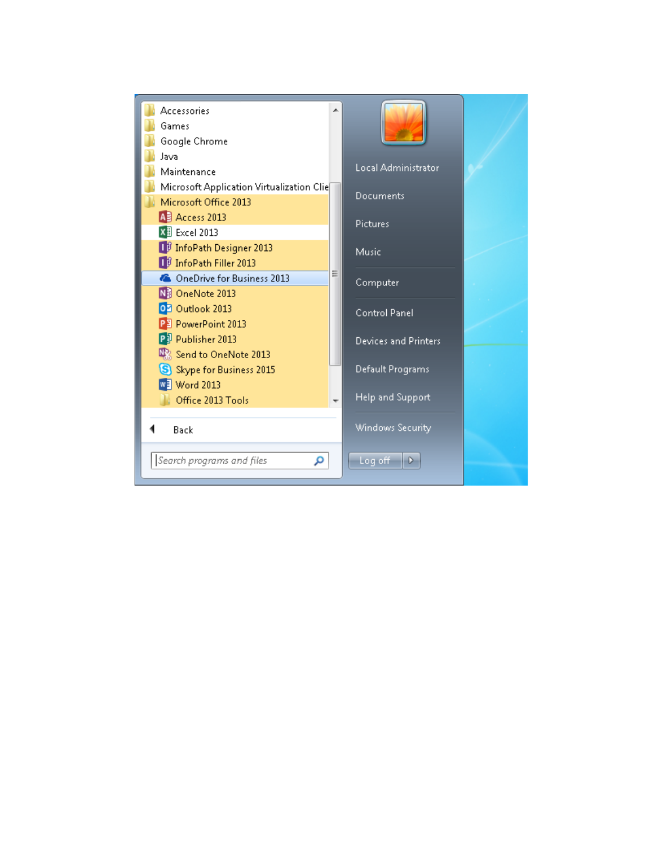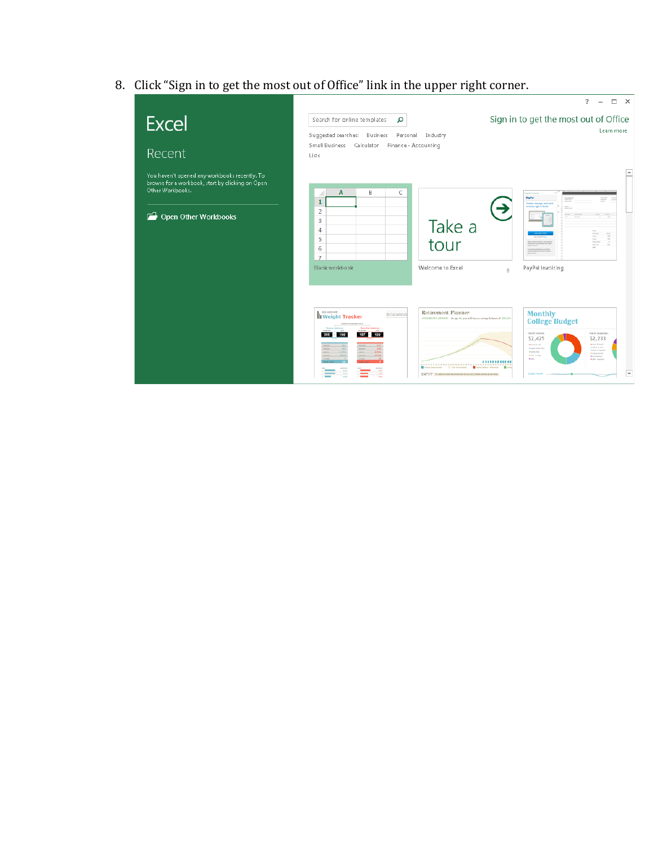8. Click "Sign in to get the most out of Office" link in the upper right corner.

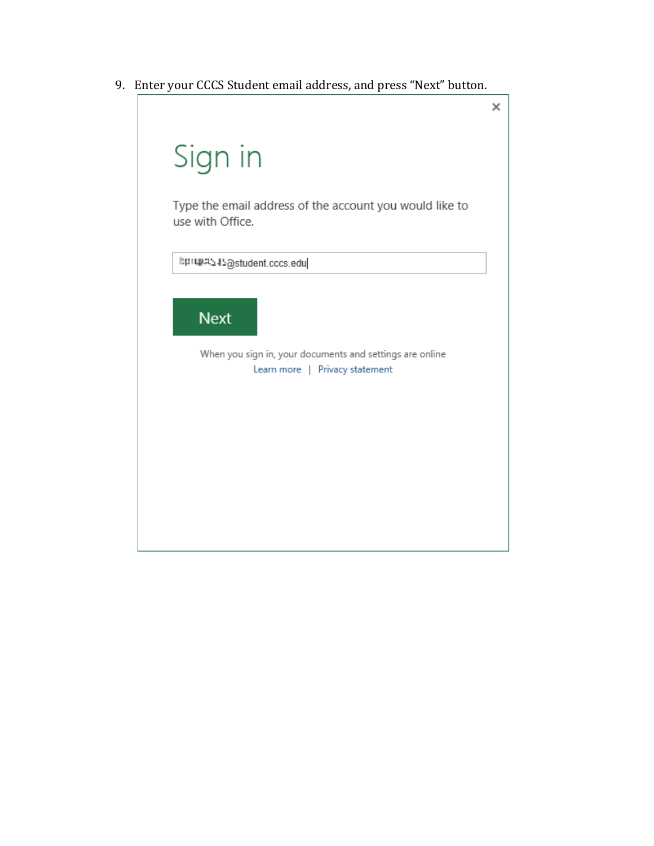9. Enter your CCCS Student email address, and press "Next" button.

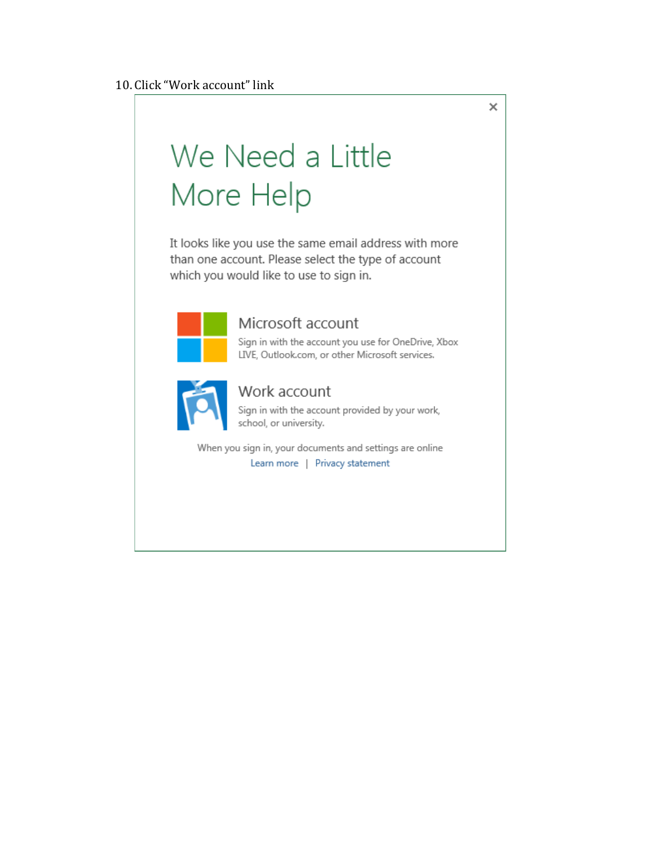# We Need a Little More Help

It looks like you use the same email address with more than one account. Please select the type of account which you would like to use to sign in.



## Microsoft account

Sign in with the account you use for OneDrive, Xbox LIVE, Outlook.com, or other Microsoft services.

 $\overline{\mathsf{x}}$ 



### Work account

Sign in with the account provided by your work, school, or university.

When you sign in, your documents and settings are online Learn more | Privacy statement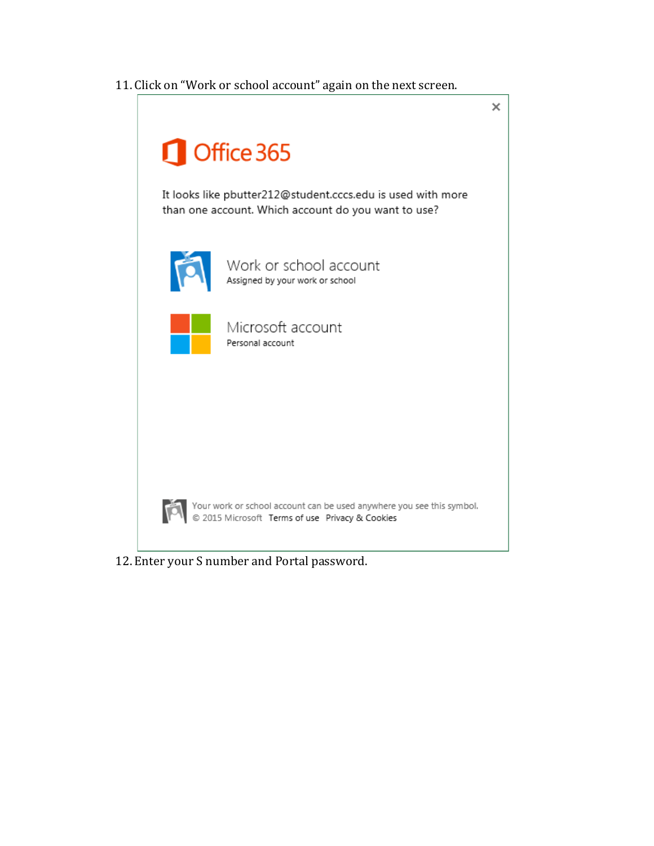11. Click on "Work or school account" again on the next screen.



12. Enter your S number and Portal password.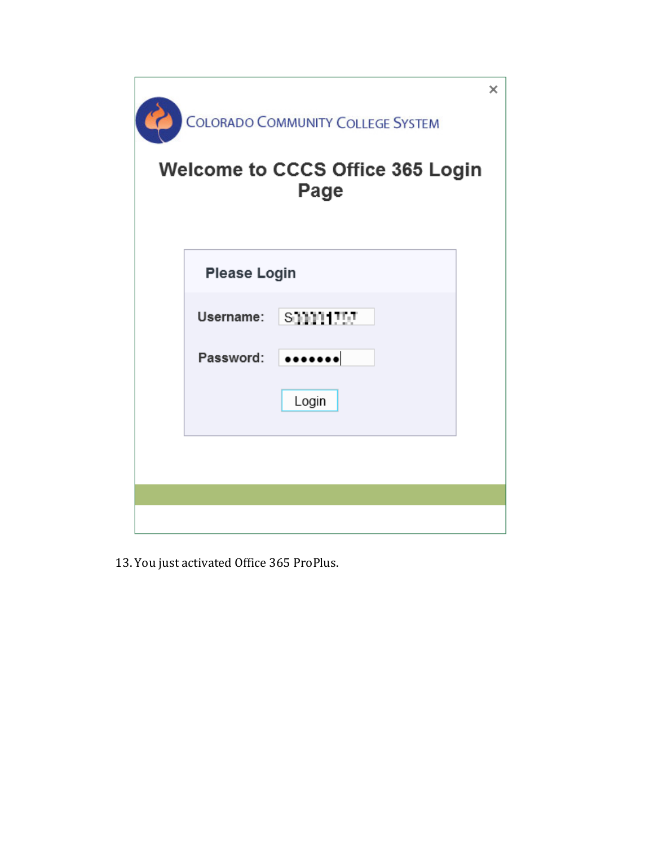| ×<br><b>COLORADO COMMUNITY COLLEGE SYSTEM</b><br><b>Welcome to CCCS Office 365 Login</b><br>Page |                     |                                                                                                  |
|--------------------------------------------------------------------------------------------------|---------------------|--------------------------------------------------------------------------------------------------|
|                                                                                                  | <b>Please Login</b> |                                                                                                  |
|                                                                                                  | Username:           | <b>SJJJJ1HUL</b>                                                                                 |
|                                                                                                  | Password:           | $\begin{smallmatrix} \bullet\bullet\bullet\bullet\bullet\bullet\bullet\bullet \end{smallmatrix}$ |
|                                                                                                  |                     | Login                                                                                            |
|                                                                                                  |                     |                                                                                                  |
|                                                                                                  |                     |                                                                                                  |
|                                                                                                  |                     |                                                                                                  |

13. You just activated Office 365 ProPlus.